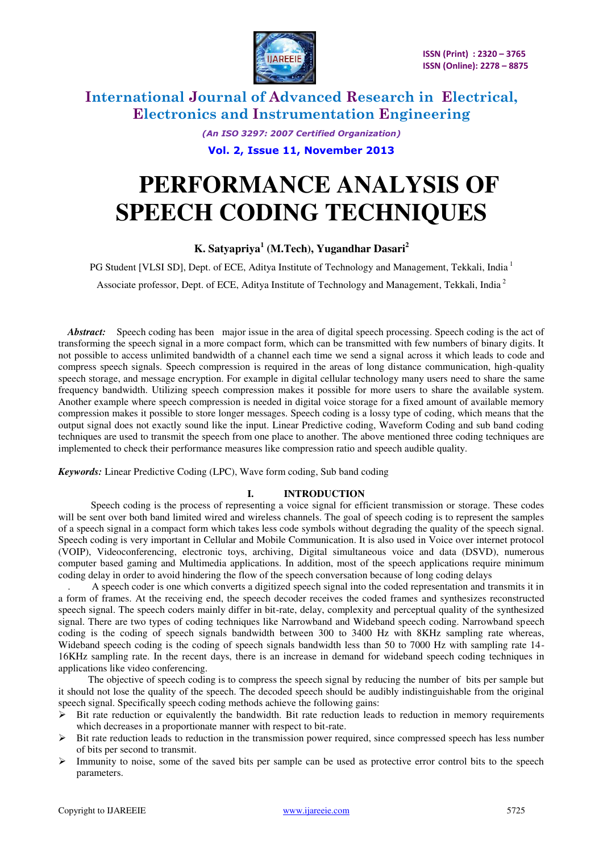

*(An ISO 3297: 2007 Certified Organization)* 

**Vol. 2, Issue 11, November 2013** 

# **PERFORMANCE ANALYSIS OF SPEECH CODING TECHNIQUES**

#### **K. Satyapriya<sup>1</sup> (M.Tech), Yugandhar Dasari<sup>2</sup>**

PG Student [VLSI SD], Dept. of ECE, Aditya Institute of Technology and Management, Tekkali, India<sup>1</sup> Associate professor, Dept. of ECE, Aditya Institute of Technology and Management, Tekkali, India<sup>2</sup>

*Abstract:* Speech coding has been major issue in the area of digital speech processing. Speech coding is the act of transforming the speech signal in a more compact form, which can be transmitted with few numbers of binary digits. It not possible to access unlimited bandwidth of a channel each time we send a signal across it which leads to code and compress speech signals. Speech compression is required in the areas of long distance communication, high-quality speech storage, and message encryption. For example in digital cellular technology many users need to share the same frequency bandwidth. Utilizing speech compression makes it possible for more users to share the available system. Another example where speech compression is needed in digital voice storage for a fixed amount of available memory compression makes it possible to store longer messages. Speech coding is a lossy type of coding, which means that the output signal does not exactly sound like the input. Linear Predictive coding, Waveform Coding and sub band coding techniques are used to transmit the speech from one place to another. The above mentioned three coding techniques are implemented to check their performance measures like compression ratio and speech audible quality.

*Keywords:* Linear Predictive Coding (LPC), Wave form coding, Sub band coding

#### **I. INTRODUCTION**

 Speech coding is the process of representing a voice signal for efficient transmission or storage. These codes will be sent over both band limited wired and wireless channels. The goal of speech coding is to represent the samples of a speech signal in a compact form which takes less code symbols without degrading the quality of the speech signal. Speech coding is very important in Cellular and Mobile Communication. It is also used in Voice over internet protocol (VOIP), Videoconferencing, electronic toys, archiving, Digital simultaneous voice and data (DSVD), numerous computer based gaming and Multimedia applications. In addition, most of the speech applications require minimum coding delay in order to avoid hindering the flow of the speech conversation because of long coding delays

. A speech coder is one which converts a digitized speech signal into the coded representation and transmits it in a form of frames. At the receiving end, the speech decoder receives the coded frames and synthesizes reconstructed speech signal. The speech coders mainly differ in bit-rate, delay, complexity and perceptual quality of the synthesized signal. There are two types of coding techniques like Narrowband and Wideband speech coding. Narrowband speech coding is the coding of speech signals bandwidth between 300 to 3400 Hz with 8KHz sampling rate whereas, Wideband speech coding is the coding of speech signals bandwidth less than 50 to 7000 Hz with sampling rate 14- 16KHz sampling rate. In the recent days, there is an increase in demand for wideband speech coding techniques in applications like video conferencing.

 The objective of speech coding is to compress the speech signal by reducing the number of bits per sample but it should not lose the quality of the speech. The decoded speech should be audibly indistinguishable from the original speech signal. Specifically speech coding methods achieve the following gains:

- $\triangleright$  Bit rate reduction or equivalently the bandwidth. Bit rate reduction leads to reduction in memory requirements which decreases in a proportionate manner with respect to bit-rate.
- $\triangleright$  Bit rate reduction leads to reduction in the transmission power required, since compressed speech has less number of bits per second to transmit.
- $\triangleright$  Immunity to noise, some of the saved bits per sample can be used as protective error control bits to the speech parameters.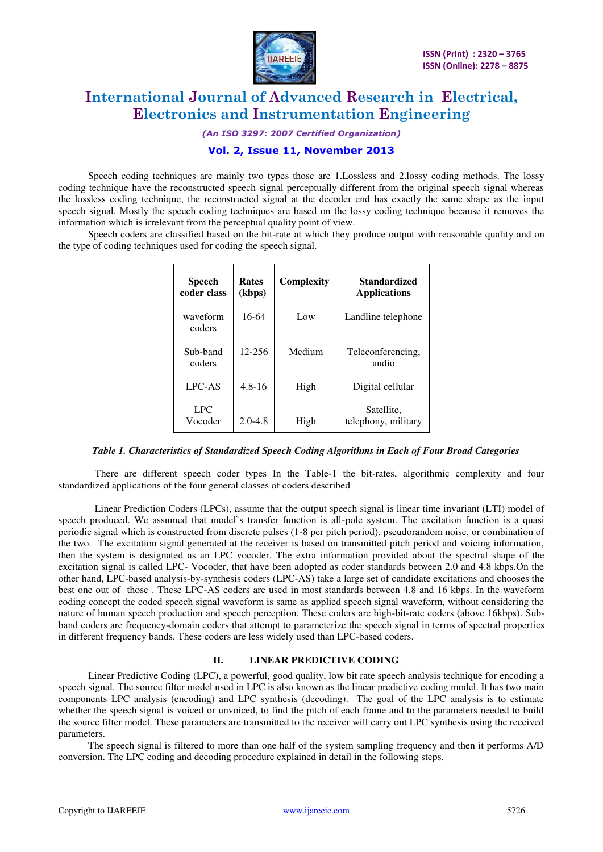

*(An ISO 3297: 2007 Certified Organization)* 

#### **Vol. 2, Issue 11, November 2013**

 Speech coding techniques are mainly two types those are 1.Lossless and 2.lossy coding methods. The lossy coding technique have the reconstructed speech signal perceptually different from the original speech signal whereas the lossless coding technique, the reconstructed signal at the decoder end has exactly the same shape as the input speech signal. Mostly the speech coding techniques are based on the lossy coding technique because it removes the information which is irrelevant from the perceptual quality point of view.

 Speech coders are classified based on the bit-rate at which they produce output with reasonable quality and on the type of coding techniques used for coding the speech signal.

| <b>Speech</b><br>coder class | <b>Rates</b><br>(kbps) | Complexity | Standardized<br><b>Applications</b> |
|------------------------------|------------------------|------------|-------------------------------------|
| waveform<br>coders           | 16-64                  | Low        | Landline telephone                  |
| Sub-band<br>coders           | 12-256                 | Medium     | Teleconferencing,<br>audio          |
| LPC-AS                       | $4.8 - 16$             | High       | Digital cellular                    |
| <b>LPC</b><br>Vocoder        | $2.0 - 4.8$            | High       | Satellite,<br>telephony, military   |

*Table 1. Characteristics of Standardized Speech Coding Algorithms in Each of Four Broad Categories* 

There are different speech coder types In the Table-1 the bit-rates, algorithmic complexity and four standardized applications of the four general classes of coders described

Linear Prediction Coders (LPCs), assume that the output speech signal is linear time invariant (LTI) model of speech produced. We assumed that model`s transfer function is all-pole system. The excitation function is a quasi periodic signal which is constructed from discrete pulses (1-8 per pitch period), pseudorandom noise, or combination of the two. The excitation signal generated at the receiver is based on transmitted pitch period and voicing information, then the system is designated as an LPC vocoder. The extra information provided about the spectral shape of the excitation signal is called LPC- Vocoder, that have been adopted as coder standards between 2.0 and 4.8 kbps.On the other hand, LPC-based analysis-by-synthesis coders (LPC-AS) take a large set of candidate excitations and chooses the best one out of those . These LPC-AS coders are used in most standards between 4.8 and 16 kbps. In the waveform coding concept the coded speech signal waveform is same as applied speech signal waveform, without considering the nature of human speech production and speech perception. These coders are high-bit-rate coders (above 16kbps). Subband coders are frequency-domain coders that attempt to parameterize the speech signal in terms of spectral properties in different frequency bands. These coders are less widely used than LPC-based coders.

#### **II. LINEAR PREDICTIVE CODING**

 Linear Predictive Coding (LPC), a powerful, good quality, low bit rate speech analysis technique for encoding a speech signal. The source filter model used in LPC is also known as the linear predictive coding model. It has two main components LPC analysis (encoding) and LPC synthesis (decoding). The goal of the LPC analysis is to estimate whether the speech signal is voiced or unvoiced, to find the pitch of each frame and to the parameters needed to build the source filter model. These parameters are transmitted to the receiver will carry out LPC synthesis using the received parameters.

 The speech signal is filtered to more than one half of the system sampling frequency and then it performs A/D conversion. The LPC coding and decoding procedure explained in detail in the following steps.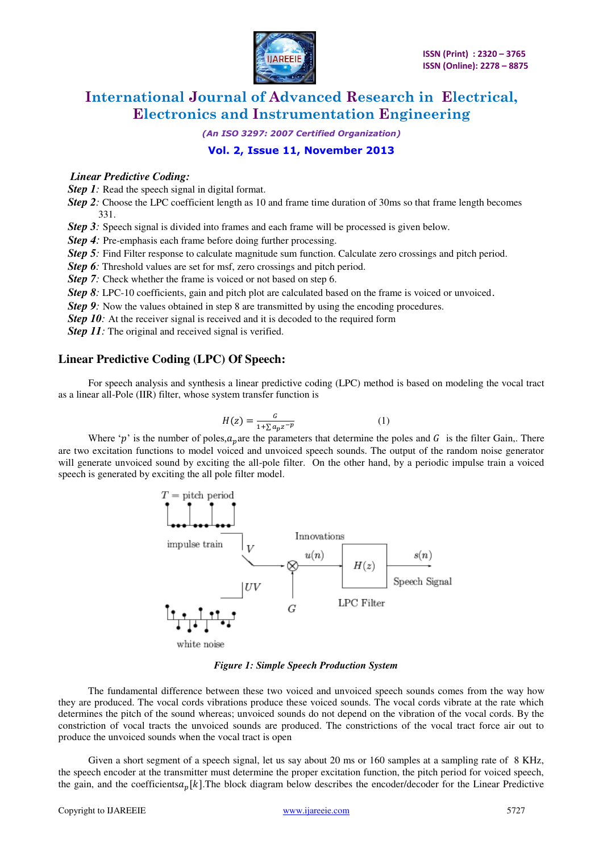

*(An ISO 3297: 2007 Certified Organization)* 

#### **Vol. 2, Issue 11, November 2013**

#### *Linear Predictive Coding:*

*Step 1*: Read the speech signal in digital format.

*Step 2:* Choose the LPC coefficient length as 10 and frame time duration of 30ms so that frame length becomes 331.

*Step 3*: Speech signal is divided into frames and each frame will be processed is given below.

*Step 4:* Pre-emphasis each frame before doing further processing.

*Step 5:* Find Filter response to calculate magnitude sum function. Calculate zero crossings and pitch period.

*Step 6*: Threshold values are set for msf, zero crossings and pitch period.

*Step 7:* Check whether the frame is voiced or not based on step 6.

*Step 8*: LPC-10 coefficients, gain and pitch plot are calculated based on the frame is voiced or unvoiced.

*Step 9*: Now the values obtained in step 8 are transmitted by using the encoding procedures.

*Step 10:* At the receiver signal is received and it is decoded to the required form

*Step 11:* The original and received signal is verified.

#### **Linear Predictive Coding (LPC) Of Speech:**

 For speech analysis and synthesis a linear predictive coding (LPC) method is based on modeling the vocal tract as a linear all-Pole (IIR) filter, whose system transfer function is

$$
H(z) = \frac{c}{1 + \sum a_p z^{-p}}\tag{1}
$$

Where 'p' is the number of poles,  $a_n$  are the parameters that determine the poles and G is the filter Gain,. There are two excitation functions to model voiced and unvoiced speech sounds. The output of the random noise generator will generate unvoiced sound by exciting the all-pole filter. On the other hand, by a periodic impulse train a voiced speech is generated by exciting the all pole filter model.



white noise

#### *Figure 1: Simple Speech Production System*

 The fundamental difference between these two voiced and unvoiced speech sounds comes from the way how they are produced. The vocal cords vibrations produce these voiced sounds. The vocal cords vibrate at the rate which determines the pitch of the sound whereas; unvoiced sounds do not depend on the vibration of the vocal cords. By the constriction of vocal tracts the unvoiced sounds are produced. The constrictions of the vocal tract force air out to produce the unvoiced sounds when the vocal tract is open

 Given a short segment of a speech signal, let us say about 20 ms or 160 samples at a sampling rate of 8 KHz, the speech encoder at the transmitter must determine the proper excitation function, the pitch period for voiced speech, the gain, and the coefficients  $a_p[k]$ . The block diagram below describes the encoder/decoder for the Linear Predictive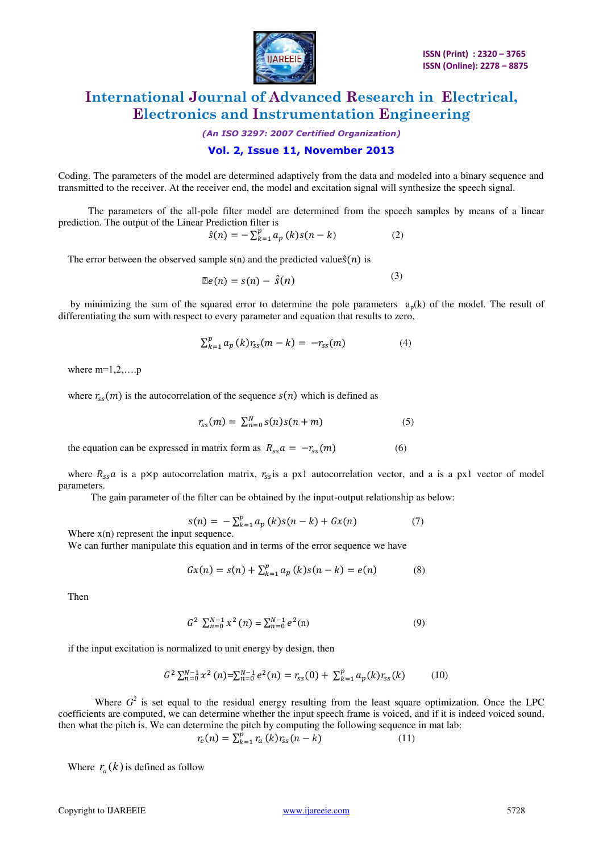

*(An ISO 3297: 2007 Certified Organization)* 

#### **Vol. 2, Issue 11, November 2013**

Coding. The parameters of the model are determined adaptively from the data and modeled into a binary sequence and transmitted to the receiver. At the receiver end, the model and excitation signal will synthesize the speech signal.

 The parameters of the all-pole filter model are determined from the speech samples by means of a linear prediction. The output of the Linear Prediction filter is

$$
\hat{s}(n) = -\sum_{k=1}^{p} a_p(k)s(n-k)
$$
 (2)

The error between the observed sample  $s(n)$  and the predicted value  $\hat{s}(n)$  is

$$
\mathbb{E}e(n) = s(n) - \hat{s}(n) \tag{3}
$$

by minimizing the sum of the squared error to determine the pole parameters  $a_p(k)$  of the model. The result of differentiating the sum with respect to every parameter and equation that results to zero,

$$
\sum_{k=1}^{p} a_p(k) r_{ss}(m-k) = -r_{ss}(m)
$$
 (4)

where  $m=1,2,...,p$ 

where  $r_{ss}(m)$  is the autocorrelation of the sequence  $s(n)$  which is defined as

$$
r_{ss}(m) = \sum_{n=0}^{N} s(n)s(n+m)
$$
 (5)

the equation can be expressed in matrix form as  $R_{ss}a = -r_{ss}(m)$  (6)

where  $R_{ss}a$  is a p $\times$ p autocorrelation matrix,  $r_{ss}$ is a px1 autocorrelation vector, and a is a px1 vector of model parameters.

The gain parameter of the filter can be obtained by the input-output relationship as below:

$$
s(n) = -\sum_{k=1}^{p} a_p(k)s(n-k) + Gx(n)
$$
 (7)

Where  $x(n)$  represent the input sequence.

We can further manipulate this equation and in terms of the error sequence we have

$$
Gx(n) = s(n) + \sum_{k=1}^{p} a_p(k)s(n-k) = e(n)
$$
 (8)

Then

$$
G^2 \sum_{n=0}^{N-1} x^2(n) = \sum_{n=0}^{N-1} e^2(n)
$$
 (9)

if the input excitation is normalized to unit energy by design, then

$$
G^{2} \sum_{n=0}^{N-1} x^{2} (n) = \sum_{n=0}^{N-1} e^{2}(n) = r_{ss}(0) + \sum_{k=1}^{p} a_{p}(k) r_{ss}(k)
$$
 (10)

Where  $G^2$  is set equal to the residual energy resulting from the least square optimization. Once the LPC coefficients are computed, we can determine whether the input speech frame is voiced, and if it is indeed voiced sound, then what the pitch is. We can determine the pitch by computing the following sequence in mat lab:

$$
r_e(n) = \sum_{k=1}^{p} r_a(k) r_{ss}(n-k)
$$
 (11)

Where  $r_a(k)$  is defined as follow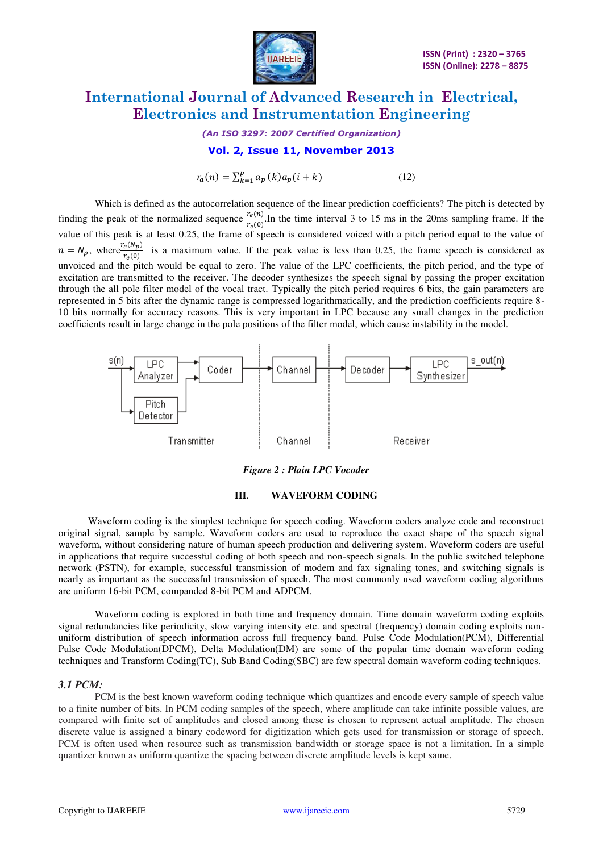

*(An ISO 3297: 2007 Certified Organization)* 

#### **Vol. 2, Issue 11, November 2013**

 $r_a(n) = \sum_{k=1}^{p} a_p(k) a_p(i+k)$  (12)

Which is defined as the autocorrelation sequence of the linear prediction coefficients? The pitch is detected by finding the peak of the normalized sequence  $\frac{r_e(n)}{r_e(0)}$ . In the time interval 3 to 15 ms in the 20ms sampling frame. If the value of this peak is at least 0.25, the frame of speech is considered voiced with a pitch period equal to the value of  $n = N_p$ , where  $\frac{r_e(N_p)}{r_e(0)}$  is a maximum value. If the peak value is less than 0.25, the frame speech is considered as unvoiced and the pitch would be equal to zero. The value of the LPC coefficients, the pitch period, and the type of excitation are transmitted to the receiver. The decoder synthesizes the speech signal by passing the proper excitation through the all pole filter model of the vocal tract. Typically the pitch period requires 6 bits, the gain parameters are represented in 5 bits after the dynamic range is compressed logarithmatically, and the prediction coefficients require 8- 10 bits normally for accuracy reasons. This is very important in LPC because any small changes in the prediction coefficients result in large change in the pole positions of the filter model, which cause instability in the model.



*Figure 2 : Plain LPC Vocoder* 



 Waveform coding is the simplest technique for speech coding. Waveform coders analyze code and reconstruct original signal, sample by sample. Waveform coders are used to reproduce the exact shape of the speech signal waveform, without considering nature of human speech production and delivering system. Waveform coders are useful in applications that require successful coding of both speech and non-speech signals. In the public switched telephone network (PSTN), for example, successful transmission of modem and fax signaling tones, and switching signals is nearly as important as the successful transmission of speech. The most commonly used waveform coding algorithms are uniform 16-bit PCM, companded 8-bit PCM and ADPCM.

Waveform coding is explored in both time and frequency domain. Time domain waveform coding exploits signal redundancies like periodicity, slow varying intensity etc. and spectral (frequency) domain coding exploits nonuniform distribution of speech information across full frequency band. Pulse Code Modulation(PCM), Differential Pulse Code Modulation(DPCM), Delta Modulation(DM) are some of the popular time domain waveform coding techniques and Transform Coding(TC), Sub Band Coding(SBC) are few spectral domain waveform coding techniques.

#### *3.1 PCM:*

 PCM is the best known waveform coding technique which quantizes and encode every sample of speech value to a finite number of bits. In PCM coding samples of the speech, where amplitude can take infinite possible values, are compared with finite set of amplitudes and closed among these is chosen to represent actual amplitude. The chosen discrete value is assigned a binary codeword for digitization which gets used for transmission or storage of speech. PCM is often used when resource such as transmission bandwidth or storage space is not a limitation. In a simple quantizer known as uniform quantize the spacing between discrete amplitude levels is kept same.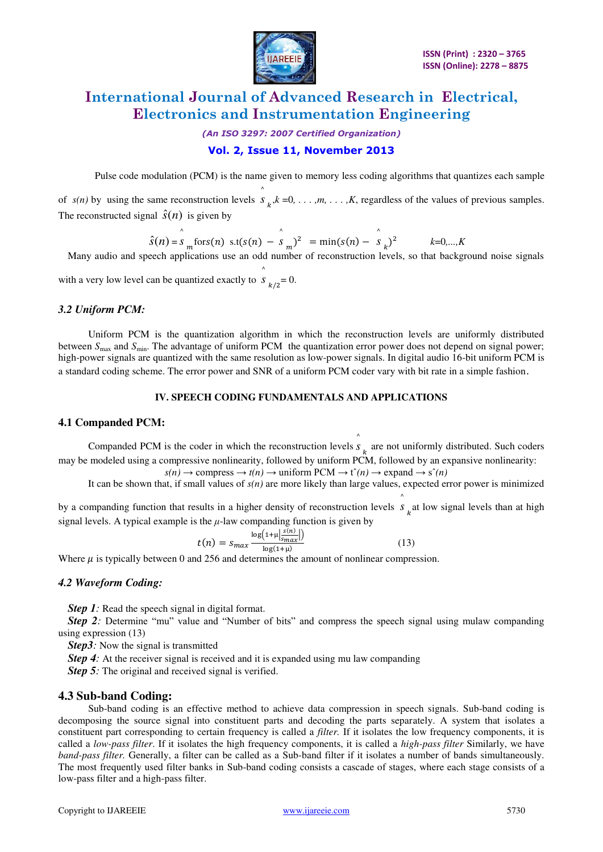

*(An ISO 3297: 2007 Certified Organization)* 

#### **Vol. 2, Issue 11, November 2013**

Pulse code modulation (PCM) is the name given to memory less coding algorithms that quantizes each sample

of  $s(n)$  by using the same reconstruction levels  $\int_{k}^{x} k =0, \ldots, m, \ldots, K$ , regardless of the values of previous samples. The reconstructed signal  $\hat{s}(n)$  is given by

$$
\hat{S}(n) = \sum_{m=0}^{\infty} \frac{\hat{S}(n)}{m} \text{ for } S(n) = \sum_{m=0}^{\infty} \frac{1}{m} = \min(\hat{S}(n) - \sum_{m=0}^{\infty} \frac{1}{m})^2
$$
\nMany audio and speech applications use an odd number of reconstruction levels, so that background noise signals.

with a very low level can be quantized exactly to  $S_{k/2} = 0$ . ^

#### *3.2 Uniform PCM:*

Uniform PCM is the quantization algorithm in which the reconstruction levels are uniformly distributed between  $S_{\text{max}}$  and  $S_{\text{min}}$ . The advantage of uniform PCM the quantization error power does not depend on signal power; high-power signals are quantized with the same resolution as low-power signals. In digital audio 16-bit uniform PCM is a standard coding scheme. The error power and SNR of a uniform PCM coder vary with bit rate in a simple fashion.

#### **IV. SPEECH CODING FUNDAMENTALS AND APPLICATIONS**

#### **4.1 Companded PCM:**

Companded PCM is the coder in which the reconstruction levels  $s<sub>k</sub>$  are not uniformly distributed. Such coders ^ may be modeled using a compressive nonlinearity, followed by uniform PCM, followed by an expansive nonlinearity:  $s(n) \rightarrow$  compress  $\rightarrow t(n) \rightarrow$  uniform PCM  $\rightarrow t^*(n) \rightarrow$  expand  $\rightarrow s^*(n)$ 

It can be shown that, if small values of  $s(n)$  are more likely than large values, expected error power is minimized

^

by a companding function that results in a higher density of reconstruction levels  $s_k$  at low signal levels than at high signal levels. A typical example is the  $\mu$ -law companding function is given by

$$
t(n) = s_{max} \frac{\log(1 + \mu \left| \frac{s(n)}{s_{max}} \right|)}{\log(1 + \mu)}
$$
(13)

Where  $\mu$  is typically between 0 and 256 and determines the amount of nonlinear compression.

#### *4.2 Waveform Coding:*

*Step 1*: Read the speech signal in digital format.

*Step 2:* Determine "mu" value and "Number of bits" and compress the speech signal using mulaw companding using expression (13)

*Step3*: Now the signal is transmitted

*Step 4*: At the receiver signal is received and it is expanded using mu law companding

*Step 5*: The original and received signal is verified.

#### **4.3 Sub-band Coding:**

 Sub-band coding is an effective method to achieve data compression in speech signals. Sub-band coding is decomposing the source signal into constituent parts and decoding the parts separately. A system that isolates a constituent part corresponding to certain frequency is called a *filter.* If it isolates the low frequency components, it is called a *low-pass filter*. If it isolates the high frequency components, it is called a *high-pass filter* Similarly, we have *band-pass filter.* Generally, a filter can be called as a Sub-band filter if it isolates a number of bands simultaneously. The most frequently used filter banks in Sub-band coding consists a cascade of stages, where each stage consists of a low-pass filter and a high-pass filter.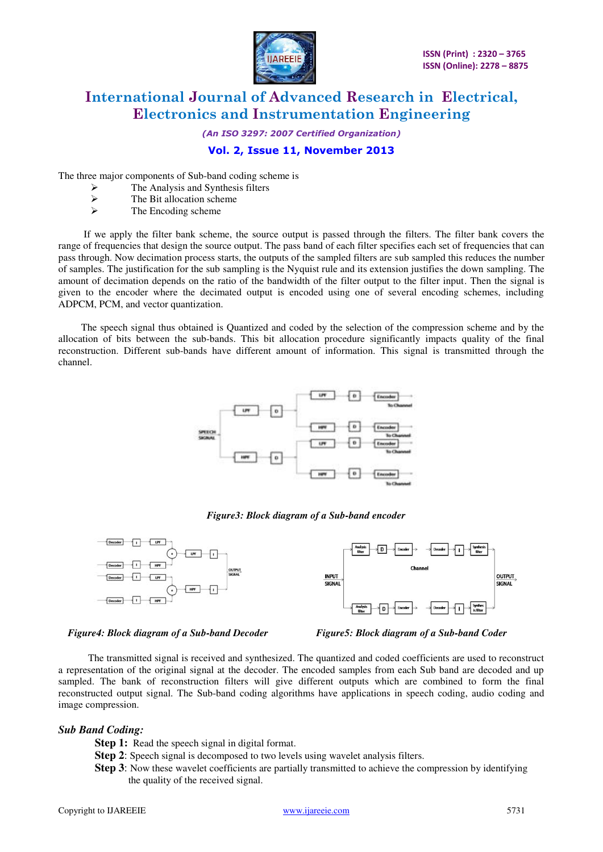

*(An ISO 3297: 2007 Certified Organization)* 

#### **Vol. 2, Issue 11, November 2013**

The three major components of Sub-band coding scheme is

- $\triangleright$  The Analysis and Synthesis filters<br>  $\triangleright$  The Bit allocation scheme
- $\triangleright$  The Bit allocation scheme
- The Encoding scheme

 If we apply the filter bank scheme, the source output is passed through the filters. The filter bank covers the range of frequencies that design the source output. The pass band of each filter specifies each set of frequencies that can pass through. Now decimation process starts, the outputs of the sampled filters are sub sampled this reduces the number of samples. The justification for the sub sampling is the Nyquist rule and its extension justifies the down sampling. The amount of decimation depends on the ratio of the bandwidth of the filter output to the filter input. Then the signal is given to the encoder where the decimated output is encoded using one of several encoding schemes, including ADPCM, PCM, and vector quantization.

The speech signal thus obtained is Quantized and coded by the selection of the compression scheme and by the allocation of bits between the sub-bands. This bit allocation procedure significantly impacts quality of the final reconstruction. Different sub-bands have different amount of information. This signal is transmitted through the channel.



*Figure3: Block diagram of a Sub-band encoder* 



*Figure4: Block diagram of a Sub-band Decoder* Figure5: Block diagram of a Sub-band Coder



 The transmitted signal is received and synthesized. The quantized and coded coefficients are used to reconstruct a representation of the original signal at the decoder. The encoded samples from each Sub band are decoded and up sampled. The bank of reconstruction filters will give different outputs which are combined to form the final reconstructed output signal. The Sub-band coding algorithms have applications in speech coding, audio coding and image compression.

#### *Sub Band Coding:*

- **Step 1:** Read the speech signal in digital format.
- **Step 2**: Speech signal is decomposed to two levels using wavelet analysis filters.
- **Step 3**: Now these wavelet coefficients are partially transmitted to achieve the compression by identifying the quality of the received signal.